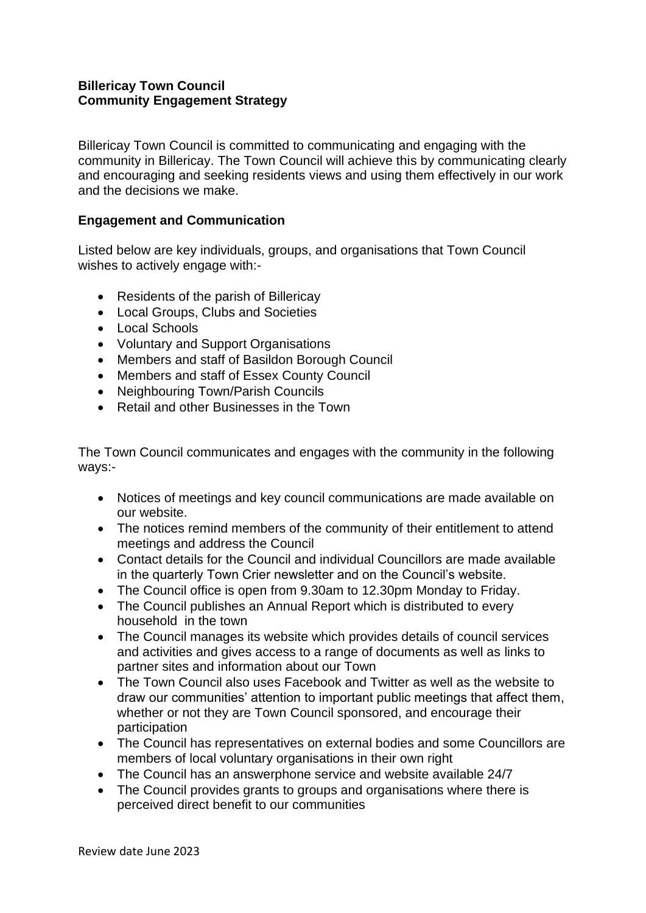## **Billericay Town Council Community Engagement Strategy**

Billericay Town Council is committed to communicating and engaging with the community in Billericay. The Town Council will achieve this by communicating clearly and encouraging and seeking residents views and using them effectively in our work and the decisions we make.

## **Engagement and Communication**

Listed below are key individuals, groups, and organisations that Town Council wishes to actively engage with:-

- Residents of the parish of Billericay
- Local Groups, Clubs and Societies
- Local Schools
- Voluntary and Support Organisations
- Members and staff of Basildon Borough Council
- Members and staff of Essex County Council
- Neighbouring Town/Parish Councils
- Retail and other Businesses in the Town

The Town Council communicates and engages with the community in the following ways:-

- Notices of meetings and key council communications are made available on our website.
- The notices remind members of the community of their entitlement to attend meetings and address the Council
- Contact details for the Council and individual Councillors are made available in the quarterly Town Crier newsletter and on the Council's website.
- The Council office is open from 9.30am to 12.30pm Monday to Friday.
- The Council publishes an Annual Report which is distributed to every household in the town
- The Council manages its website which provides details of council services and activities and gives access to a range of documents as well as links to partner sites and information about our Town
- The Town Council also uses Facebook and Twitter as well as the website to draw our communities' attention to important public meetings that affect them, whether or not they are Town Council sponsored, and encourage their participation
- The Council has representatives on external bodies and some Councillors are members of local voluntary organisations in their own right
- The Council has an answerphone service and website available 24/7
- The Council provides grants to groups and organisations where there is perceived direct benefit to our communities